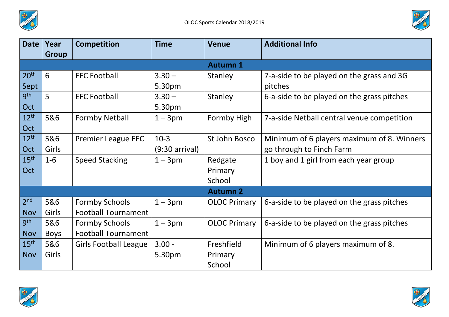



| <b>Date</b>      | Year<br><b>Group</b> | <b>Competition</b>           | <b>Time</b>              | <b>Venue</b>        | <b>Additional Info</b>                     |  |  |  |  |
|------------------|----------------------|------------------------------|--------------------------|---------------------|--------------------------------------------|--|--|--|--|
|                  |                      |                              |                          | <b>Autumn 1</b>     |                                            |  |  |  |  |
| 20 <sup>th</sup> | 6                    | <b>EFC Football</b>          | $3.30 -$                 | Stanley             | 7-a-side to be played on the grass and 3G  |  |  |  |  |
| Sept             |                      |                              | 5.30pm                   |                     | pitches                                    |  |  |  |  |
| gth              | 5                    |                              |                          |                     |                                            |  |  |  |  |
|                  |                      | <b>EFC Football</b>          | $3.30 -$                 | <b>Stanley</b>      | 6-a-side to be played on the grass pitches |  |  |  |  |
| Oct              |                      |                              | 5.30pm                   |                     |                                            |  |  |  |  |
| 12 <sup>th</sup> | 5&6                  | <b>Formby Netball</b>        | $1 - 3pm$                | Formby High         | 7-a-side Netball central venue competition |  |  |  |  |
| Oct              |                      |                              |                          |                     |                                            |  |  |  |  |
| 12 <sup>th</sup> | 5&6                  | <b>Premier League EFC</b>    | $10-3$                   | St John Bosco       | Minimum of 6 players maximum of 8. Winners |  |  |  |  |
| Oct              | Girls                |                              | $(9:30 \text{ arrival})$ |                     | go through to Finch Farm                   |  |  |  |  |
| 15 <sup>th</sup> | $1 - 6$              | <b>Speed Stacking</b>        | $1 - 3pm$                | Redgate             | 1 boy and 1 girl from each year group      |  |  |  |  |
| Oct              |                      |                              |                          | Primary             |                                            |  |  |  |  |
|                  |                      |                              |                          | School              |                                            |  |  |  |  |
| <b>Autumn 2</b>  |                      |                              |                          |                     |                                            |  |  |  |  |
| 2 <sup>nd</sup>  | 5&6                  | <b>Formby Schools</b>        | $1 - 3pm$                | <b>OLOC Primary</b> | 6-a-side to be played on the grass pitches |  |  |  |  |
| <b>Nov</b>       | Girls                | <b>Football Tournament</b>   |                          |                     |                                            |  |  |  |  |
| gth              | 5&6                  | <b>Formby Schools</b>        | $1 - 3pm$                | <b>OLOC Primary</b> | 6-a-side to be played on the grass pitches |  |  |  |  |
| <b>Nov</b>       | <b>Boys</b>          | <b>Football Tournament</b>   |                          |                     |                                            |  |  |  |  |
| 15 <sup>th</sup> | 5&6                  | <b>Girls Football League</b> | $3.00 -$                 | <b>Freshfield</b>   | Minimum of 6 players maximum of 8.         |  |  |  |  |
| <b>Nov</b>       | Girls                |                              | 5.30pm                   | Primary             |                                            |  |  |  |  |
|                  |                      |                              |                          | School              |                                            |  |  |  |  |



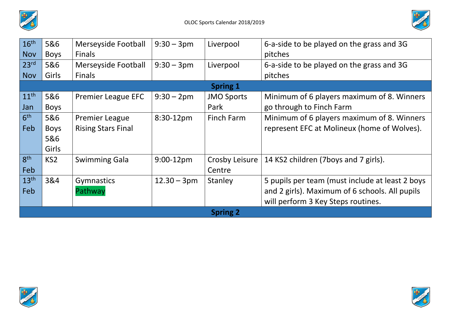



| 16 <sup>th</sup> | 5&6             | Merseyside Football       | $9:30 - 3 \text{pm}$ | Liverpool         | 6-a-side to be played on the grass and 3G       |  |  |  |  |
|------------------|-----------------|---------------------------|----------------------|-------------------|-------------------------------------------------|--|--|--|--|
| <b>Nov</b>       | <b>Boys</b>     | <b>Finals</b>             |                      |                   | pitches                                         |  |  |  |  |
| 23 <sup>rd</sup> | 5&6             | Merseyside Football       | $9:30 - 3pm$         | Liverpool         | 6-a-side to be played on the grass and 3G       |  |  |  |  |
| <b>Nov</b>       | Girls           | <b>Finals</b>             |                      |                   | pitches                                         |  |  |  |  |
| <b>Spring 1</b>  |                 |                           |                      |                   |                                                 |  |  |  |  |
| 11 <sup>th</sup> | 5&6             | <b>Premier League EFC</b> | $9:30 - 2pm$         | <b>JMO Sports</b> | Minimum of 6 players maximum of 8. Winners      |  |  |  |  |
| Jan              | <b>Boys</b>     |                           |                      | Park              | go through to Finch Farm                        |  |  |  |  |
| 6 <sup>th</sup>  | 5&6             | <b>Premier League</b>     | $8:30-12$ pm         | Finch Farm        | Minimum of 6 players maximum of 8. Winners      |  |  |  |  |
| Feb              | <b>Boys</b>     | <b>Rising Stars Final</b> |                      |                   | represent EFC at Molineux (home of Wolves).     |  |  |  |  |
|                  | 5&6             |                           |                      |                   |                                                 |  |  |  |  |
|                  | Girls           |                           |                      |                   |                                                 |  |  |  |  |
| 8 <sup>th</sup>  | KS <sub>2</sub> | <b>Swimming Gala</b>      | $9:00-12$ pm         | Crosby Leisure    | 14 KS2 children (7boys and 7 girls).            |  |  |  |  |
| Feb              |                 |                           |                      | Centre            |                                                 |  |  |  |  |
| 13 <sup>th</sup> | 3&4             | Gymnastics                | $12.30 - 3pm$        | Stanley           | 5 pupils per team (must include at least 2 boys |  |  |  |  |
| Feb              |                 | Pathway                   |                      |                   | and 2 girls). Maximum of 6 schools. All pupils  |  |  |  |  |
|                  |                 |                           |                      |                   | will perform 3 Key Steps routines.              |  |  |  |  |
| <b>Spring 2</b>  |                 |                           |                      |                   |                                                 |  |  |  |  |